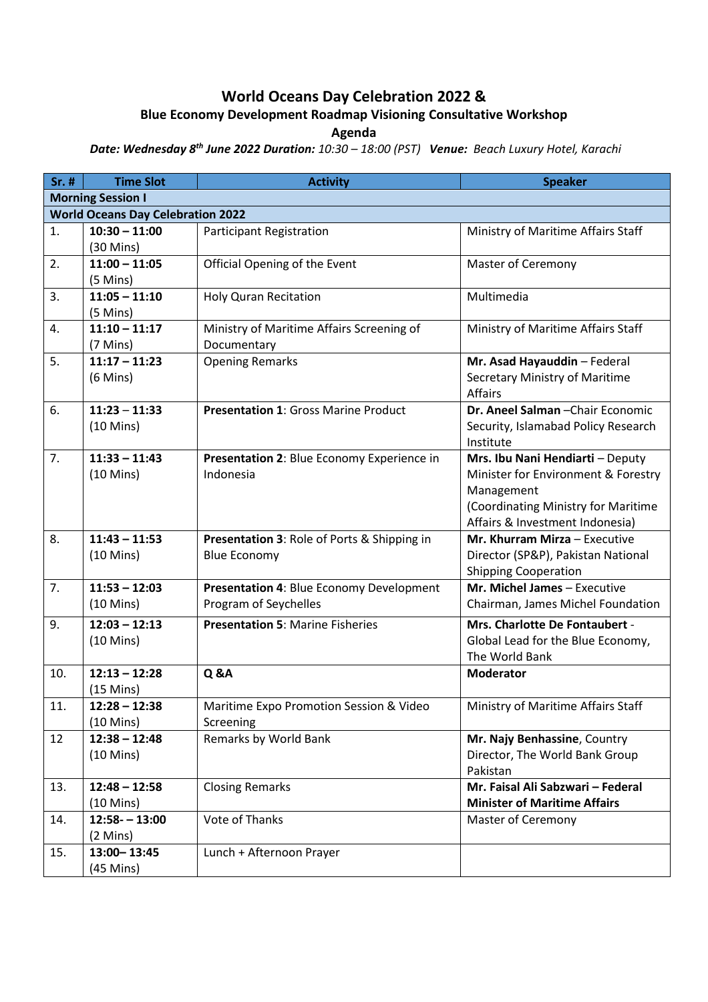## **World Oceans Day Celebration 2022 &**

## **Blue Economy Development Roadmap Visioning Consultative Workshop**

**Agenda**

*Date: Wednesday 8 th June 2022 Duration: 10:30 – 18:00 (PST) Venue: Beach Luxury Hotel, Karachi*

| Sr. #                                    | <b>Time Slot</b>                       | <b>Activity</b>                                                    | <b>Speaker</b>                                                                                                                                                  |  |  |
|------------------------------------------|----------------------------------------|--------------------------------------------------------------------|-----------------------------------------------------------------------------------------------------------------------------------------------------------------|--|--|
| <b>Morning Session I</b>                 |                                        |                                                                    |                                                                                                                                                                 |  |  |
| <b>World Oceans Day Celebration 2022</b> |                                        |                                                                    |                                                                                                                                                                 |  |  |
| 1.                                       | $10:30 - 11:00$<br>$(30 \text{ Mins})$ | <b>Participant Registration</b>                                    | Ministry of Maritime Affairs Staff                                                                                                                              |  |  |
| 2.                                       | $11:00 - 11:05$<br>$(5$ Mins)          | Official Opening of the Event                                      | <b>Master of Ceremony</b>                                                                                                                                       |  |  |
| 3.                                       | $11:05 - 11:10$<br>$(5$ Mins)          | <b>Holy Quran Recitation</b>                                       | Multimedia                                                                                                                                                      |  |  |
| 4.                                       | $11:10 - 11:17$<br>$(7 \text{ Mins})$  | Ministry of Maritime Affairs Screening of<br>Documentary           | Ministry of Maritime Affairs Staff                                                                                                                              |  |  |
| 5.                                       | $11:17 - 11:23$<br>$(6$ Mins)          | <b>Opening Remarks</b>                                             | Mr. Asad Hayauddin - Federal<br>Secretary Ministry of Maritime<br><b>Affairs</b>                                                                                |  |  |
| 6.                                       | $11:23 - 11:33$<br>$(10 \text{ Mins})$ | <b>Presentation 1: Gross Marine Product</b>                        | Dr. Aneel Salman - Chair Economic<br>Security, Islamabad Policy Research<br>Institute                                                                           |  |  |
| 7.                                       | $11:33 - 11:43$<br>$(10 \text{ Mins})$ | Presentation 2: Blue Economy Experience in<br>Indonesia            | Mrs. Ibu Nani Hendiarti - Deputy<br>Minister for Environment & Forestry<br>Management<br>(Coordinating Ministry for Maritime<br>Affairs & Investment Indonesia) |  |  |
| 8.                                       | $11:43 - 11:53$<br>$(10 \text{ Mins})$ | Presentation 3: Role of Ports & Shipping in<br><b>Blue Economy</b> | Mr. Khurram Mirza - Executive<br>Director (SP&P), Pakistan National<br><b>Shipping Cooperation</b>                                                              |  |  |
| 7.                                       | $11:53 - 12:03$<br>$(10 \text{ Mins})$ | Presentation 4: Blue Economy Development<br>Program of Seychelles  | Mr. Michel James - Executive<br>Chairman, James Michel Foundation                                                                                               |  |  |
| 9.                                       | $12:03 - 12:13$<br>$(10 \text{ Mins})$ | <b>Presentation 5: Marine Fisheries</b>                            | Mrs. Charlotte De Fontaubert -<br>Global Lead for the Blue Economy,<br>The World Bank                                                                           |  |  |
| 10.                                      | $12:13 - 12:28$<br>$(15$ Mins)         | <b>Q &amp;A</b>                                                    | <b>Moderator</b>                                                                                                                                                |  |  |
| 11.                                      | $12:28 - 12:38$<br>$(10 \text{ Mins})$ | Maritime Expo Promotion Session & Video<br>Screening               | Ministry of Maritime Affairs Staff                                                                                                                              |  |  |
| 12                                       | $12:38 - 12:48$<br>$(10 \text{ Mins})$ | Remarks by World Bank                                              | Mr. Najy Benhassine, Country<br>Director, The World Bank Group<br>Pakistan                                                                                      |  |  |
| 13.                                      | $12:48 - 12:58$<br>$(10 \text{ Mins})$ | <b>Closing Remarks</b>                                             | Mr. Faisal Ali Sabzwari - Federal<br><b>Minister of Maritime Affairs</b>                                                                                        |  |  |
| 14.                                      | $12:58 - 13:00$<br>$(2$ Mins)          | <b>Vote of Thanks</b>                                              | <b>Master of Ceremony</b>                                                                                                                                       |  |  |
| 15.                                      | 13:00 - 13:45<br>$(45$ Mins)           | Lunch + Afternoon Prayer                                           |                                                                                                                                                                 |  |  |